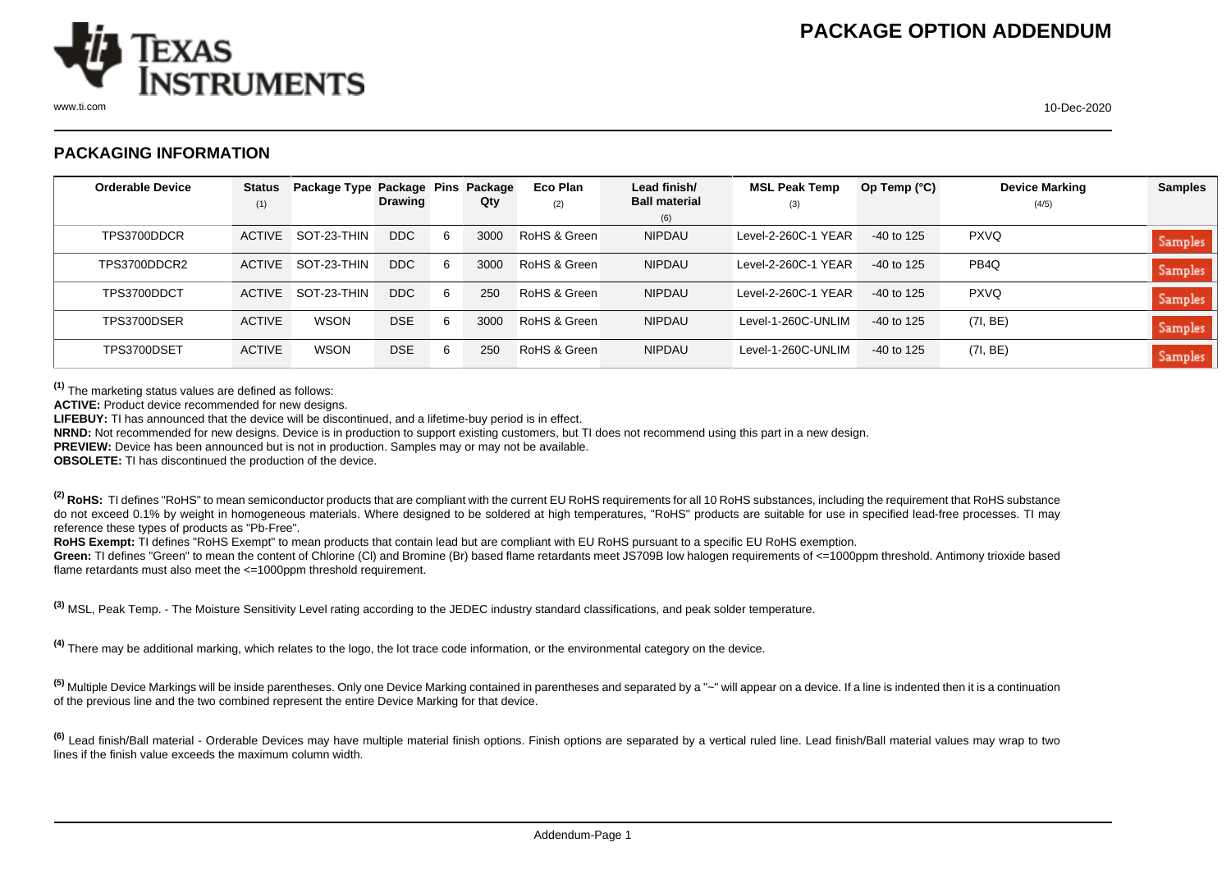

## **PACKAGING INFORMATION**

| <b>Orderable Device</b> | <b>Status</b> | Package Type Package Pins |                |   | Package | Eco Plan     | Lead finish/                | <b>MSL Peak Temp</b> | Op Temp (°C) | <b>Device Marking</b> | <b>Samples</b> |
|-------------------------|---------------|---------------------------|----------------|---|---------|--------------|-----------------------------|----------------------|--------------|-----------------------|----------------|
|                         | (1)           |                           | <b>Drawing</b> |   | Qty     | (2)          | <b>Ball material</b><br>(6) | (3)                  |              | (4/5)                 |                |
| TPS3700DDCR             | ACTIVE        | SOT-23-THIN               | <b>DDC</b>     | 6 | 3000    | RoHS & Green | <b>NIPDAU</b>               | Level-2-260C-1 YEAR  | $-40$ to 125 | <b>PXVQ</b>           | <b>Samples</b> |
| TPS3700DDCR2            | <b>ACTIVE</b> | SOT-23-THIN               | <b>DDC</b>     | 6 | 3000    | RoHS & Green | <b>NIPDAU</b>               | Level-2-260C-1 YEAR  | $-40$ to 125 | PB <sub>4Q</sub>      | Samples        |
| TPS3700DDCT             | <b>ACTIVE</b> | SOT-23-THIN               | <b>DDC</b>     | 6 | 250     | RoHS & Green | <b>NIPDAU</b>               | Level-2-260C-1 YEAR  | $-40$ to 125 | <b>PXVQ</b>           | Samples        |
| TPS3700DSER             | <b>ACTIVE</b> | WSON                      | <b>DSE</b>     | 6 | 3000    | RoHS & Green | <b>NIPDAU</b>               | Level-1-260C-UNLIM   | $-40$ to 125 | (7I, BE)              | <b>Samples</b> |
| TPS3700DSET             | <b>ACTIVE</b> | <b>WSON</b>               | <b>DSE</b>     | 6 | 250     | RoHS & Green | <b>NIPDAU</b>               | Level-1-260C-UNLIM   | $-40$ to 125 | (7I, BE)              | Samples        |

**(1)** The marketing status values are defined as follows:

**ACTIVE:** Product device recommended for new designs.

**LIFEBUY:** TI has announced that the device will be discontinued, and a lifetime-buy period is in effect.

**NRND:** Not recommended for new designs. Device is in production to support existing customers, but TI does not recommend using this part in a new design.

**PREVIEW:** Device has been announced but is not in production. Samples may or may not be available.

**OBSOLETE:** TI has discontinued the production of the device.

<sup>(2)</sup> RoHS: TI defines "RoHS" to mean semiconductor products that are compliant with the current EU RoHS requirements for all 10 RoHS substances, including the requirement that RoHS substance do not exceed 0.1% by weight in homogeneous materials. Where designed to be soldered at high temperatures, "RoHS" products are suitable for use in specified lead-free processes. TI may reference these types of products as "Pb-Free".

**RoHS Exempt:** TI defines "RoHS Exempt" to mean products that contain lead but are compliant with EU RoHS pursuant to a specific EU RoHS exemption.

Green: TI defines "Green" to mean the content of Chlorine (CI) and Bromine (Br) based flame retardants meet JS709B low halogen requirements of <=1000ppm threshold. Antimony trioxide based flame retardants must also meet the <=1000ppm threshold requirement.

**(3)** MSL, Peak Temp. - The Moisture Sensitivity Level rating according to the JEDEC industry standard classifications, and peak solder temperature.

**(4)** There may be additional marking, which relates to the logo, the lot trace code information, or the environmental category on the device.

**(5)** Multiple Device Markings will be inside parentheses. Only one Device Marking contained in parentheses and separated by a "~" will appear on a device. If a line is indented then it is a continuation of the previous line and the two combined represent the entire Device Marking for that device.

<sup>(6)</sup> Lead finish/Ball material - Orderable Devices may have multiple material finish options. Finish options are separated by a vertical ruled line. Lead finish/Ball material values may wrap to two lines if the finish value exceeds the maximum column width.